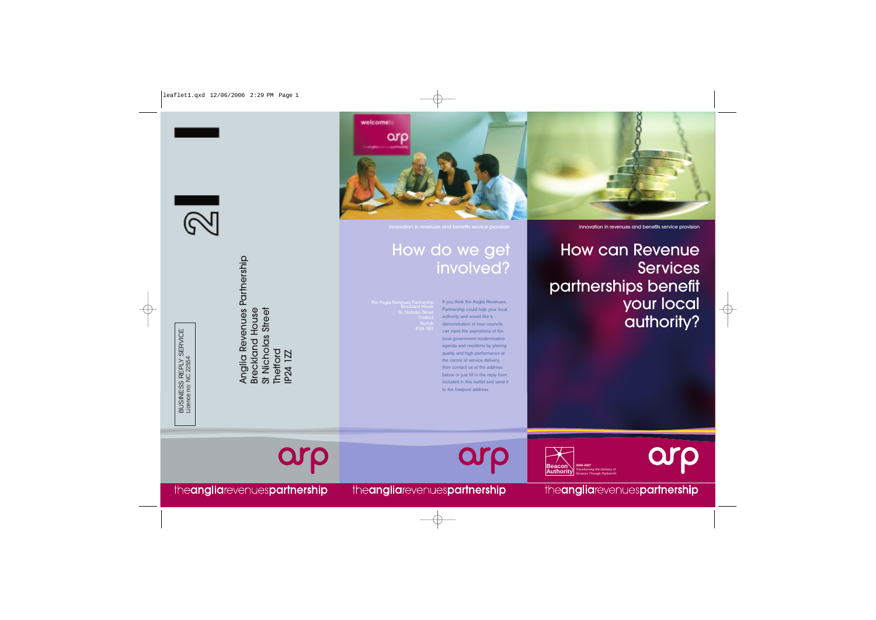

 $\begin{array}{c}\n\uparrow \\
\uparrow\n\end{array}$